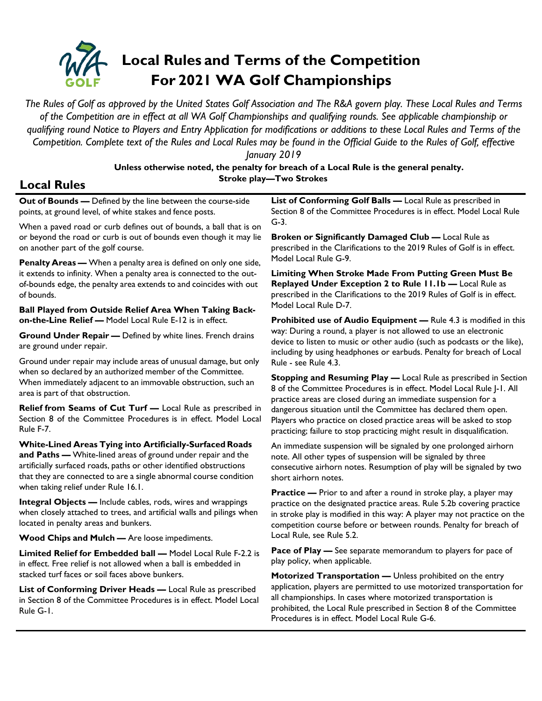

*The Rules of Golf as approved by the United States Golf Association and The R&A govern play. These Local Rules and Terms of the Competition are in effect at all WA Golf Championships and qualifying rounds. See applicable championship or qualifying round Notice to Players and Entry Application for modifications or additions to these Local Rules and Terms of the Competition. Complete text of the Rules and Local Rules may be found in the Official Guide to the Rules of Golf, effective* 

> *January 2019* **Unless otherwise noted, the penalty for breach of a Local Rule is the general penalty. Stroke play—Two Strokes**

## **Local Rules**

**Out of Bounds —** Defined by the line between the course-side points, at ground level, of white stakes and fence posts.

When a paved road or curb defines out of bounds, a ball that is on or beyond the road or curb is out of bounds even though it may lie on another part of the golf course.

**Penalty Areas —** When a penalty area is defined on only one side, it extends to infinity. When a penalty area is connected to the outof-bounds edge, the penalty area extends to and coincides with out of bounds.

**Ball Played from Outside Relief Area When Taking Backon-the-Line Relief —** Model Local Rule E-12 is in effect.

**Ground Under Repair —** Defined by white lines. French drains are ground under repair.

Ground under repair may include areas of unusual damage, but only when so declared by an authorized member of the Committee. When immediately adjacent to an immovable obstruction, such an area is part of that obstruction.

**Relief from Seams of Cut Turf —** Local Rule as prescribed in Section 8 of the Committee Procedures is in effect. Model Local Rule F-7.

**White-Lined Areas Tying into Artificially-Surfaced Roads and Paths —** White-lined areas of ground under repair and the artificially surfaced roads, paths or other identified obstructions that they are connected to are a single abnormal course condition when taking relief under Rule 16.1.

**Integral Objects —** Include cables, rods, wires and wrappings when closely attached to trees, and artificial walls and pilings when located in penalty areas and bunkers.

**Wood Chips and Mulch —** Are loose impediments.

**Limited Relief for Embedded ball —** Model Local Rule F-2.2 is in effect. Free relief is not allowed when a ball is embedded in stacked turf faces or soil faces above bunkers.

**List of Conforming Driver Heads —** Local Rule as prescribed in Section 8 of the Committee Procedures is in effect. Model Local Rule G-1.

**List of Conforming Golf Balls —** Local Rule as prescribed in Section 8 of the Committee Procedures is in effect. Model Local Rule G-3.

**Broken or Significantly Damaged Club —** Local Rule as prescribed in the Clarifications to the 2019 Rules of Golf is in effect. Model Local Rule G-9.

**Limiting When Stroke Made From Putting Green Must Be Replayed Under Exception 2 to Rule 11.1b —** Local Rule as prescribed in the Clarifications to the 2019 Rules of Golf is in effect. Model Local Rule D-7.

**Prohibited use of Audio Equipment - Rule 4.3 is modified in this** way: During a round, a player is not allowed to use an electronic device to listen to music or other audio (such as podcasts or the like), including by using headphones or earbuds. Penalty for breach of Local Rule - see Rule 4.3.

**Stopping and Resuming Play —** Local Rule as prescribed in Section 8 of the Committee Procedures is in effect. Model Local Rule J-1. All practice areas are closed during an immediate suspension for a dangerous situation until the Committee has declared them open. Players who practice on closed practice areas will be asked to stop practicing; failure to stop practicing might result in disqualification.

An immediate suspension will be signaled by one prolonged airhorn note. All other types of suspension will be signaled by three consecutive airhorn notes. Resumption of play will be signaled by two short airhorn notes.

**Practice —** Prior to and after a round in stroke play, a player may practice on the designated practice areas. Rule 5.2b covering practice in stroke play is modified in this way: A player may not practice on the competition course before or between rounds. Penalty for breach of Local Rule, see Rule 5.2.

**Pace of Play —** See separate memorandum to players for pace of play policy, when applicable.

**Motorized Transportation —** Unless prohibited on the entry application, players are permitted to use motorized transportation for all championships. In cases where motorized transportation is prohibited, the Local Rule prescribed in Section 8 of the Committee Procedures is in effect. Model Local Rule G-6.